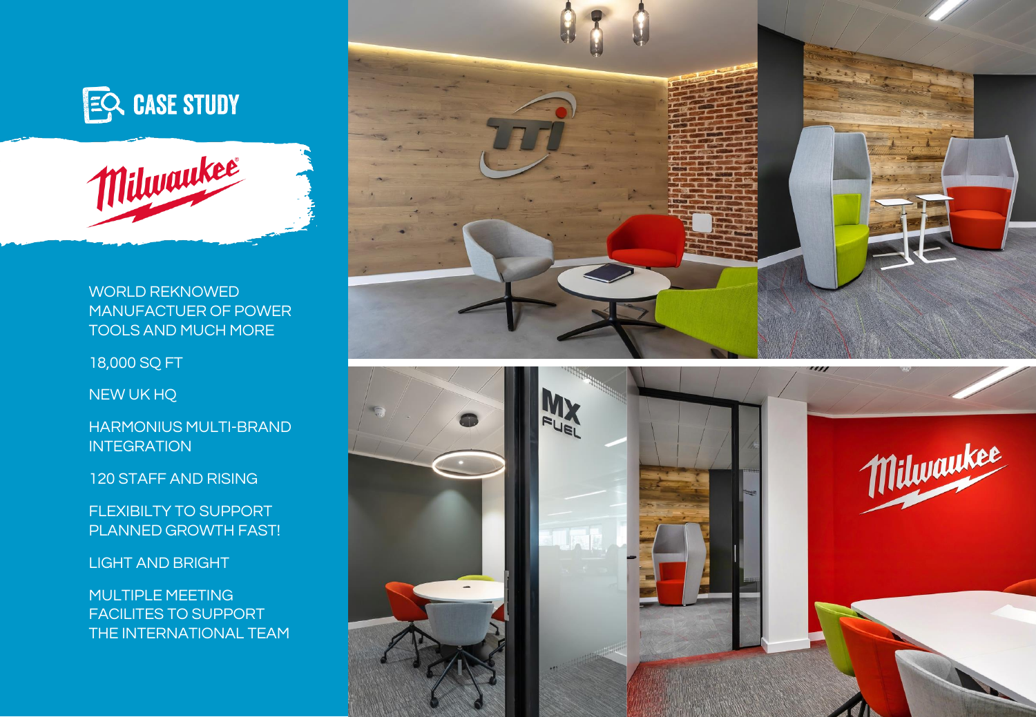



WORLD REKNOWED MANUFACTUER OF POWER TOOLS AND MUCH MORE

18,000 SQ FT

NEW UK HQ

HARMONIUS MULTI-BRAND **INTEGRATION** 

120 STAFF AND RISING

FLEXIBILTY TO SUPPORT PLANNED GROWTH FAST!

LIGHT AND BRIGHT

MULTIPLE MEETING FACILITES TO SUPPORT THE INTERNATIONAL TEAM